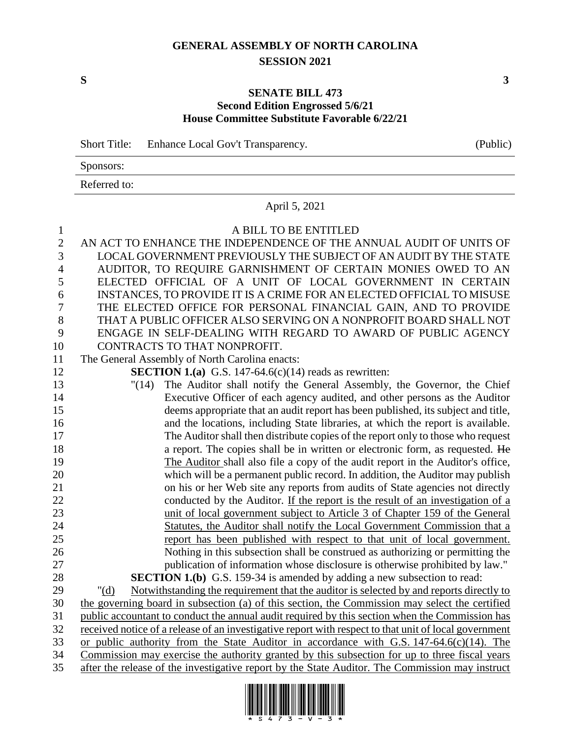## **GENERAL ASSEMBLY OF NORTH CAROLINA SESSION 2021**

**S 3**

## **SENATE BILL 473 Second Edition Engrossed 5/6/21 House Committee Substitute Favorable 6/22/21**

|              | Short Title: Enhance Local Gov't Transparency. | (Public) |
|--------------|------------------------------------------------|----------|
| Sponsors:    |                                                |          |
| Referred to: |                                                |          |

## April 5, 2021

## 1 A BILL TO BE ENTITLED

| $\mathbf{2}$   | AN ACT TO ENHANCE THE INDEPENDENCE OF THE ANNUAL AUDIT OF UNITS OF                                    |
|----------------|-------------------------------------------------------------------------------------------------------|
| 3              | LOCAL GOVERNMENT PREVIOUSLY THE SUBJECT OF AN AUDIT BY THE STATE                                      |
| $\overline{4}$ | AUDITOR, TO REQUIRE GARNISHMENT OF CERTAIN MONIES OWED TO AN                                          |
| 5              | ELECTED OFFICIAL OF A UNIT OF LOCAL GOVERNMENT IN CERTAIN                                             |
| 6              | INSTANCES, TO PROVIDE IT IS A CRIME FOR AN ELECTED OFFICIAL TO MISUSE                                 |
| $\overline{7}$ | THE ELECTED OFFICE FOR PERSONAL FINANCIAL GAIN, AND TO PROVIDE                                        |
| 8              | THAT A PUBLIC OFFICER ALSO SERVING ON A NONPROFIT BOARD SHALL NOT                                     |
| 9              | ENGAGE IN SELF-DEALING WITH REGARD TO AWARD OF PUBLIC AGENCY                                          |
| 10             | CONTRACTS TO THAT NONPROFIT.                                                                          |
| 11             | The General Assembly of North Carolina enacts:                                                        |
| 12             | <b>SECTION 1.(a)</b> G.S. 147-64.6(c)(14) reads as rewritten:                                         |
| 13             | The Auditor shall notify the General Assembly, the Governor, the Chief<br>"(14)                       |
| 14             | Executive Officer of each agency audited, and other persons as the Auditor                            |
| 15             | deems appropriate that an audit report has been published, its subject and title,                     |
| 16             | and the locations, including State libraries, at which the report is available.                       |
| 17             | The Auditor shall then distribute copies of the report only to those who request                      |
| 18             | a report. The copies shall be in written or electronic form, as requested. He                         |
| 19             | The Auditor shall also file a copy of the audit report in the Auditor's office,                       |
| 20             | which will be a permanent public record. In addition, the Auditor may publish                         |
| 21             | on his or her Web site any reports from audits of State agencies not directly                         |
| 22             | conducted by the Auditor. If the report is the result of an investigation of a                        |
| 23             | unit of local government subject to Article 3 of Chapter 159 of the General                           |
| 24             | Statutes, the Auditor shall notify the Local Government Commission that a                             |
| 25             | report has been published with respect to that unit of local government.                              |
| 26             | Nothing in this subsection shall be construed as authorizing or permitting the                        |
| 27             | publication of information whose disclosure is otherwise prohibited by law."                          |
| 28             | <b>SECTION 1.(b)</b> G.S. 159-34 is amended by adding a new subsection to read:                       |
| 29             | Notwithstanding the requirement that the auditor is selected by and reports directly to<br>" $(d)$    |
| 30             | the governing board in subsection (a) of this section, the Commission may select the certified        |
| 31             | public accountant to conduct the annual audit required by this section when the Commission has        |
| 32             | received notice of a release of an investigative report with respect to that unit of local government |
| 33             | or public authority from the State Auditor in accordance with G.S. $147-64.6(c)(14)$ . The            |
| 34             | Commission may exercise the authority granted by this subsection for up to three fiscal years         |
| 35             | after the release of the investigative report by the State Auditor. The Commission may instruct       |

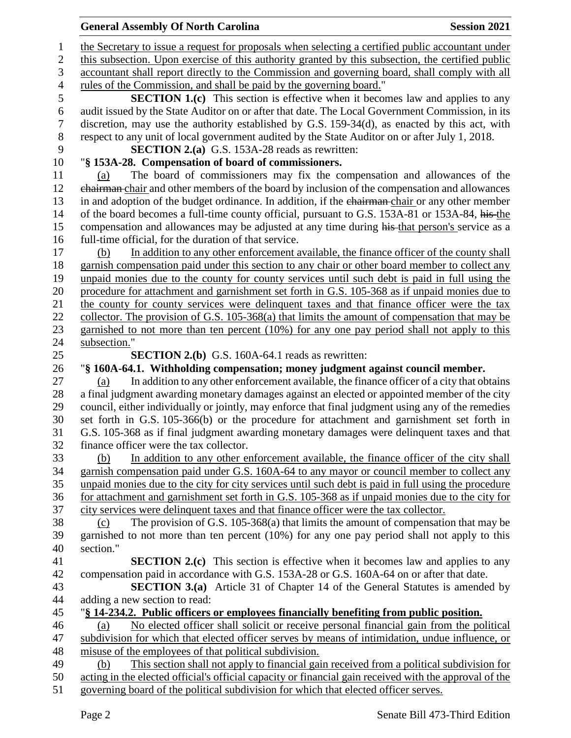| <b>General Assembly Of North Carolina</b>                                                              | <b>Session 2021</b> |
|--------------------------------------------------------------------------------------------------------|---------------------|
| the Secretary to issue a request for proposals when selecting a certified public accountant under      |                     |
| this subsection. Upon exercise of this authority granted by this subsection, the certified public      |                     |
| accountant shall report directly to the Commission and governing board, shall comply with all          |                     |
| rules of the Commission, and shall be paid by the governing board."                                    |                     |
| <b>SECTION 1.(c)</b> This section is effective when it becomes law and applies to any                  |                     |
| audit issued by the State Auditor on or after that date. The Local Government Commission, in its       |                     |
| discretion, may use the authority established by G.S. 159-34(d), as enacted by this act, with          |                     |
| respect to any unit of local government audited by the State Auditor on or after July 1, 2018.         |                     |
| <b>SECTION 2.(a)</b> G.S. 153A-28 reads as rewritten:                                                  |                     |
| "§ 153A-28. Compensation of board of commissioners.                                                    |                     |
| The board of commissioners may fix the compensation and allowances of the<br>(a)                       |                     |
| chairman-chair and other members of the board by inclusion of the compensation and allowances          |                     |
| in and adoption of the budget ordinance. In addition, if the chairman-chair or any other member        |                     |
| of the board becomes a full-time county official, pursuant to G.S. 153A-81 or 153A-84, his-the         |                     |
| compensation and allowances may be adjusted at any time during his that person's service as a          |                     |
| full-time official, for the duration of that service.                                                  |                     |
| In addition to any other enforcement available, the finance officer of the county shall<br>(b)         |                     |
| garnish compensation paid under this section to any chair or other board member to collect any         |                     |
| unpaid monies due to the county for county services until such debt is paid in full using the          |                     |
| procedure for attachment and garnishment set forth in G.S. 105-368 as if unpaid monies due to          |                     |
| the county for county services were delinquent taxes and that finance officer were the tax             |                     |
| collector. The provision of G.S. 105-368(a) that limits the amount of compensation that may be         |                     |
| garnished to not more than ten percent $(10\%)$ for any one pay period shall not apply to this         |                     |
| subsection."                                                                                           |                     |
| <b>SECTION 2.(b)</b> G.S. 160A-64.1 reads as rewritten:                                                |                     |
| "§ 160A-64.1. Withholding compensation; money judgment against council member.                         |                     |
| In addition to any other enforcement available, the finance officer of a city that obtains<br>(a)      |                     |
| a final judgment awarding monetary damages against an elected or appointed member of the city          |                     |
| council, either individually or jointly, may enforce that final judgment using any of the remedies     |                     |
| set forth in G.S. 105-366(b) or the procedure for attachment and garnishment set forth in              |                     |
| G.S. 105-368 as if final judgment awarding monetary damages were delinquent taxes and that             |                     |
| finance officer were the tax collector.                                                                |                     |
| In addition to any other enforcement available, the finance officer of the city shall<br>(b)           |                     |
| garnish compensation paid under G.S. 160A-64 to any mayor or council member to collect any             |                     |
| unpaid monies due to the city for city services until such debt is paid in full using the procedure    |                     |
| for attachment and garnishment set forth in G.S. 105-368 as if unpaid monies due to the city for       |                     |
| city services were delinquent taxes and that finance officer were the tax collector.                   |                     |
| The provision of G.S. 105-368(a) that limits the amount of compensation that may be<br>(c)             |                     |
| garnished to not more than ten percent (10%) for any one pay period shall not apply to this            |                     |
| section."                                                                                              |                     |
| <b>SECTION 2.(c)</b> This section is effective when it becomes law and applies to any                  |                     |
| compensation paid in accordance with G.S. 153A-28 or G.S. 160A-64 on or after that date.               |                     |
| <b>SECTION 3.(a)</b> Article 31 of Chapter 14 of the General Statutes is amended by                    |                     |
| adding a new section to read:                                                                          |                     |
| "§ 14-234.2. Public officers or employees financially benefiting from public position.                 |                     |
| No elected officer shall solicit or receive personal financial gain from the political<br>(a)          |                     |
| subdivision for which that elected officer serves by means of intimidation, undue influence, or        |                     |
| misuse of the employees of that political subdivision.                                                 |                     |
| This section shall not apply to financial gain received from a political subdivision for<br>(b)        |                     |
| acting in the elected official's official capacity or financial gain received with the approval of the |                     |
| governing board of the political subdivision for which that elected officer serves.                    |                     |
|                                                                                                        |                     |